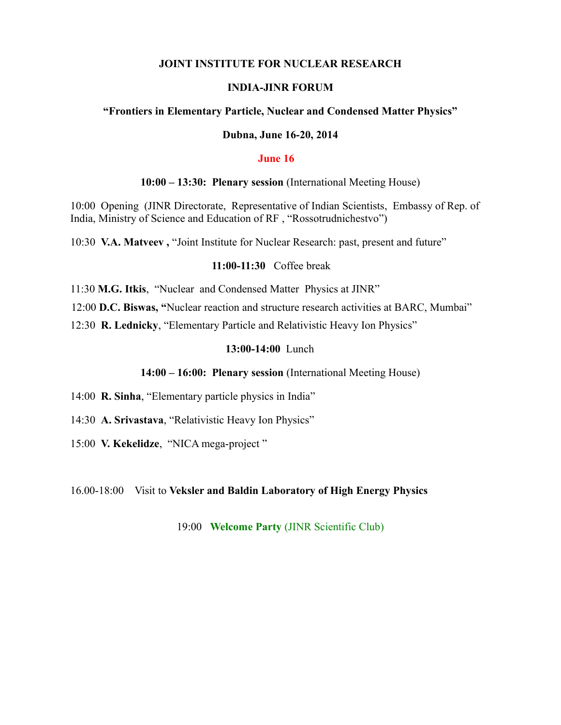### **JOINT INSTITUTE FOR NUCLEAR RESEARCH**

### **INDIA-JINR FORUM**

#### **"Frontiers in Elementary Particle, Nuclear and Condensed Matter Physics"**

#### **Dubna, June 16-20, 2014**

#### **June 16**

#### **10:00 – 13:30: Plenary session** (International Meeting House)

10:00 Opening (JINR Directorate, Representative of Indian Scientists, Embassy of Rep. of India, Ministry of Science and Education of RF , "Rossotrudnichestvo")

10:30 **V.A. Matveev ,** "Joint Institute for Nuclear Research: past, present and future"

#### **11:00-11:30** Coffee break

11:30 **M.G. Itkis**, "Nuclear and Condensed Matter Physics at JINR"

12:00 **D.C. Biswas, "**Nuclear reaction and structure research activities at BARC, Mumbai"

12:30 **R. Lednicky**, "Elementary Particle and Relativistic Heavy Ion Physics"

## **13:00-14:00** Lunch

## **14:00 – 16:00: Plenary session** (International Meeting House)

14:00 **R. Sinha**, "Elementary particle physics in India"

- 14:30 **A. Srivastava**, "Relativistic Heavy Ion Physics"
- 15:00 **V. Kekelidze**, "NICA mega-project "

#### 16.00-18:00Visit to **Veksler and Baldin Laboratory of High Energy Physics**

19:00 **Welcome Party** (JINR Scientific Club)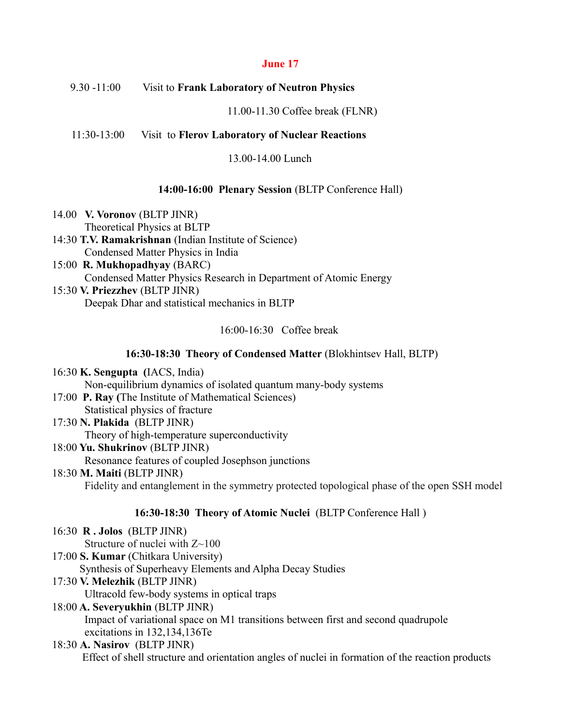## **June 17**

## 9.30 -11:00Visit to **Frank Laboratory of Neutron Physics**

11.00-11.30 Coffee break (FLNR)

## 11:30-13:00 Visit to **Flerov Laboratory of Nuclear Reactions**

13.00-14.00 Lunch

### **14:00-16:00 Plenary Session** (BLTP Conference Hall)

- 14.00 **V. Voronov** (BLTP JINR) Theoretical Physics at BLTP
- 14:30 **T.V. Ramakrishnan** (Indian Institute of Science) Condensed Matter Physics in India
- 15:00 **R. Mukhopadhyay** (BARC) Condensed Matter Physics Research in Department of Atomic Energy
- 15:30 **V. Priezzhev** (BLTP JINR) Deepak Dhar and statistical mechanics in BLTP

16:00-16:30 Coffee break

## **16:30-18:30 Theory of Condensed Matter** (Blokhintsev Hall, BLTP)

16:30 **K. Sengupta (**IACS, India) Non-equilibrium dynamics of isolated quantum many-body systems

- 17:00 **P. Ray (**The Institute of Mathematical Sciences) Statistical physics of fracture
- 17:30 **N. Plakida** (BLTP JINR) Theory of high-temperature superconductivity 18:00 **Yu. Shukrinov** (BLTP JINR)

Resonance features of coupled Josephson junctions

18:30 **M. Maiti** (BLTP JINR) Fidelity and entanglement in the symmetry protected topological phase of the open SSH model

## **16:30-18:30 Theory of Atomic Nuclei** (BLTP Conference Hall )

16:30 **R . Jolos** (BLTP JINR)

Structure of nuclei with  $Z \sim 100$ 

17:00 **S. Kumar** (Chitkara University)

Synthesis of Superheavy Elements and Alpha Decay Studies

17:30 **V. Melezhik** (BLTP JINR)

Ultracold few-body systems in optical traps

18:00 **A. Severyukhin** (BLTP JINR)

Impact of variational space on M1 transitions between first and second quadrupole excitations in 132,134,136Te

# 18:30 **A. Nasirov** (BLTP JINR)

Effect of shell structure and orientation angles of nuclei in formation of the reaction products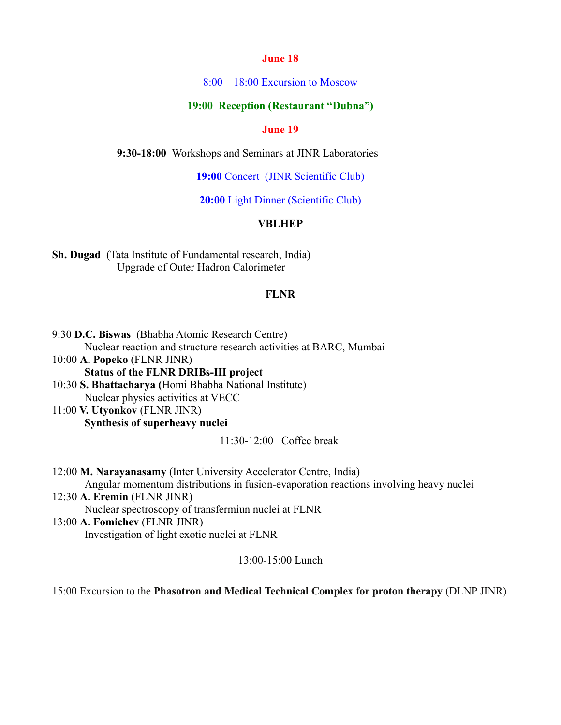#### **June 18**

8:00 – 18:00 Excursion to Moscow

# **19:00 Reception (Restaurant "Dubna")**

#### **June 19**

**9:30-18:00** Workshops and Seminars at JINR Laboratories

**19:00** Concert (JINR Scientific Club)

**20:00** Light Dinner (Scientific Club)

## **VBLHEP**

**Sh. Dugad** (Tata Institute of Fundamental research, India) Upgrade of Outer Hadron Calorimeter

### **FLNR**

9:30 **D.C. Biswas** (Bhabha Atomic Research Centre) Nuclear reaction and structure research activities at BARC, Mumbai 10:00 **A. Popeko** (FLNR JINR) **Status of the FLNR DRIBs-III project** 10:30 **S. Bhattacharya (**Homi Bhabha National Institute)

Nuclear physics activities at VECC

11:00 **V. Utyonkov** (FLNR JINR) **Synthesis of superheavy nuclei**

11:30-12:00 Coffee break

12:00 **M. Narayanasamy** (Inter University Accelerator Centre, India) Angular momentum distributions in fusion-evaporation reactions involving heavy nuclei 12:30 **A. Eremin** (FLNR JINR) Nuclear spectroscopy of transfermiun nuclei at FLNR 13:00 **A. Fomichev** (FLNR JINR) Investigation of light exotic nuclei at FLNR

13:00-15:00 Lunch

15:00 Excursion to the **Phasotron and Medical Technical Complex for proton therapy** (DLNP JINR)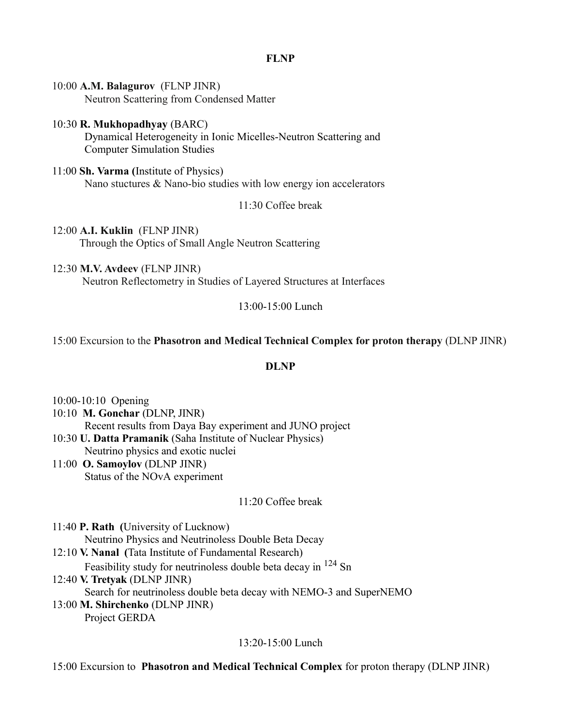## **FLNP**

10:00 **A.M. Balagurov** (FLNP JINR) Neutron Scattering from Condensed Matter

### 10:30 **R. Mukhopadhyay** (BARC) Dynamical Heterogeneity in Ionic Micelles-Neutron Scattering and Computer Simulation Studies

11:00 **Sh. Varma (**Institute of Physics) Nano stuctures & Nano-bio studies with low energy ion accelerators

11:30 Coffee break

12:00 **A.I. Kuklin** (FLNP JINR) Through the Optics of Small Angle Neutron Scattering

12:30 **M.V. Avdeev** (FLNP JINR)

Neutron Reflectometry in Studies of Layered Structures at Interfaces

13:00-15:00 Lunch

# 15:00 Excursion to the **Phasotron and Medical Technical Complex for proton therapy** (DLNP JINR)

## **DLNP**

10:00-10:10 Opening 10:10 **M. Gonchar** (DLNP, JINR) Recent results from Daya Bay experiment and JUNO project 10:30 **U. Datta Pramanik** (Saha Institute of Nuclear Physics) Neutrino physics and exotic nuclei

11:00 **O. Samoylov** (DLNP JINR) Status of the NOvA experiment

# 11:20 Coffee break

11:40 **P. Rath (**University of Lucknow) Neutrino Physics and Neutrinoless Double Beta Decay 12:10 **V. Nanal (**Tata Institute of Fundamental Research) Feasibility study for neutrinoless double beta decay in <sup>124</sup> Sn 12:40 **V. Tretyak** (DLNP JINR) Search for neutrinoless double beta decay with NEMO-3 and SuperNEMO 13:00 **M. Shirchenko** (DLNP JINR) Project GERDA

13:20-15:00 Lunch

15:00 Excursion to **Phasotron and Medical Technical Complex** for proton therapy (DLNP JINR)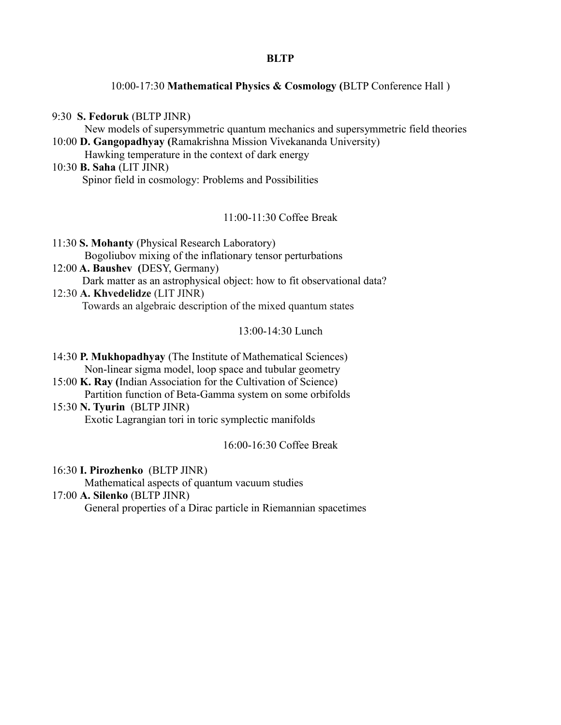#### **BLTP**

10:00-17:30 **Mathematical Physics & Cosmology (**BLTP Conference Hall )

9:30 **S. Fedoruk** (BLTP JINR)

New models of supersymmetric quantum mechanics and supersymmetric field theories 10:00 **D. Gangopadhyay (**Ramakrishna Mission Vivekananda University)

Hawking temperature in the context of dark energy

10:30 **B. Saha** (LIT JINR) Spinor field in cosmology: Problems and Possibilities

11:00-11:30 Coffee Break

11:30 **S. Mohanty** (Physical Research Laboratory) Bogoliubov mixing of the inflationary tensor perturbations

- 12:00 **A. Baushev (**DESY, Germany) Dark matter as an astrophysical object: how to fit observational data?
- 12:30 **A. Khvedelidze** (LIT JINR) Towards an algebraic description of the mixed quantum states

13:00-14:30 Lunch

- 14:30 **P. Mukhopadhyay** (The Institute of Mathematical Sciences) Non-linear sigma model, loop space and tubular geometry
- 15:00 **K. Ray (**Indian Association for the Cultivation of Science) Partition function of Beta-Gamma system on some orbifolds
- 15:30 **N. Tyurin** (BLTP JINR) Exotic Lagrangian tori in toric symplectic manifolds

16:00-16:30 Coffee Break

16:30 **I. Pirozhenko** (BLTP JINR)

Mathematical aspects of quantum vacuum studies

# 17:00 **A. Silenko** (BLTP JINR)

General properties of a Dirac particle in Riemannian spacetimes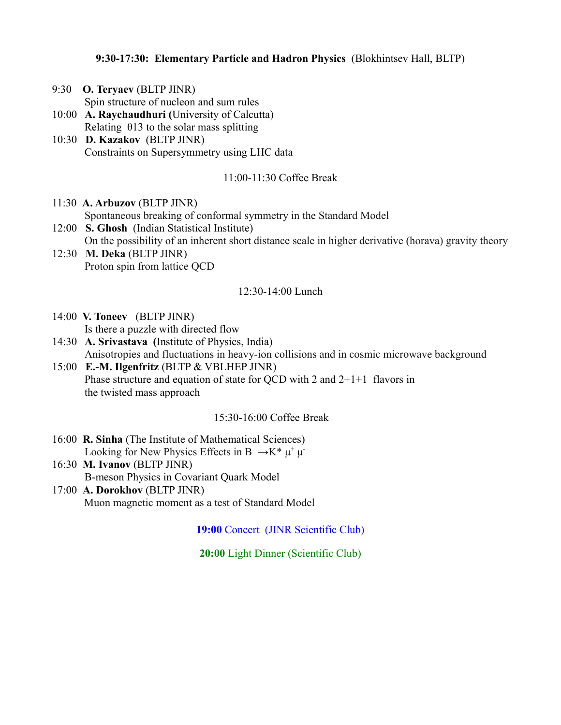# **9:30-17:30: Elementary Particle and Hadron Physics** (Blokhintsev Hall, BLTP)

- 9:30 **O. Teryaev** (BLTP JINR)
	- Spin structure of nucleon and sum rules
- 10:00 **A. Raychaudhuri (**University of Calcutta) Relating  $\theta$ 13 to the solar mass splitting
- 10:30 **D. Kazakov** (BLTP JINR) Constraints on Supersymmetry using LHC data

## 11:00-11:30 Coffee Break

- 11:30 **A. Arbuzov** (BLTP JINR) Spontaneous breaking of conformal symmetry in the Standard Model
- 12:00 **S. Ghosh** (Indian Statistical Institute) On the possibility of an inherent short distance scale in higher derivative (horava) gravity theory 12:30 **M. Deka** (BLTP JINR)
- Proton spin from lattice QCD

## 12:30-14:00 Lunch

- 14:00 **V. Toneev** (BLTP JINR)
	- Is there a puzzle with directed flow
- 14:30 **A. Srivastava (**Institute of Physics, India) Anisotropies and fluctuations in heavy-ion collisions and in cosmic microwave background
- 15:00 **E.-M. Ilgenfritz** (BLTP & VBLHEP JINR) Phase structure and equation of state for OCD with 2 and  $2+1+1$  flavors in the twisted mass approach

# 15:30-16:00 Coffee Break

- 16:00 **R. Sinha** (The Institute of Mathematical Sciences) Looking for New Physics Effects in B  $\rightarrow K^* \mu^+ \mu^-$
- 16:30 **M. Ivanov** (BLTP JINR) B-meson Physics in Covariant Quark Model
- 17:00 **A. Dorokhov** (BLTP JINR) Muon magnetic moment as a test of Standard Model

**19:00** Concert (JINR Scientific Club)

**20:00** Light Dinner (Scientific Club)